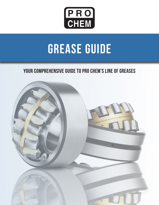

# **GREASE GUIDE**

### Your comprehensive guide to Pro Chem's line of greases

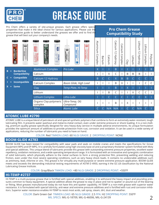

## GREASE GUIDE

Pro Chem offers a variety of site-unique greases. Each grease offers specia properties that make it the ideal choice for various applications. Please use thi comprehensive guide to better understand the greases we offer and to find the grease that will best suit your company's needs.

### **Pro Chem Grease Compatibility Study**

| <b>PRO</b><br>PRO<br><b>ATOMIC LUBE</b><br><b>BAR</b>                                        | <b>PRO</b><br><b>PRO</b><br><b>CHED</b><br><b>IUTHO-LUI</b><br>ত<br>म<br>骤 | P R O<br>P R O<br>CHEM<br>$P$ RO<br><b>TEMP-PLATE</b><br><b>PROLUBE</b><br>Nipurpose Semi-synthe<br>Food Grade Grease<br><b>G COMPOUND</b><br>WITH MOLY<br>Ø | Aluminum<br>Complex | Barium | Calcium | ∩<br>iol<br>El<br>mu<br>→<br>$\sim$<br>Hydroxy | ∩<br><u>்</u><br>reig<br>$\exists$<br>Complex | Clay | Lithium | Lithium<br>→<br>$\sim$<br>Hydroxy | Lithiu<br>З<br>Complex | ᅮ<br>olyure<br>Ō |
|----------------------------------------------------------------------------------------------|----------------------------------------------------------------------------|--------------------------------------------------------------------------------------------------------------------------------------------------------------|---------------------|--------|---------|------------------------------------------------|-----------------------------------------------|------|---------|-----------------------------------|------------------------|------------------|
| <b>Borderline</b><br><b>Compatibility</b><br><b>Compatible</b><br><b>Incompatible</b><br>$=$ | <b>Aluminum Complex</b>                                                    | Pro Lube                                                                                                                                                     | X                   |        |         | B                                              |                                               |      |         |                                   |                        | B                |
|                                                                                              | Calcium                                                                    |                                                                                                                                                              |                     |        | X       | C                                              |                                               | B    | B       | Β                                 |                        |                  |
|                                                                                              | Calcium 12 Hydroxy                                                         |                                                                                                                                                              | B                   |        | Ċ       | $\sf X$                                        | B                                             | B    | Ċ.      | Ċ                                 | C                      |                  |
|                                                                                              | Calcium Complex                                                            | Boom Glide, High Load                                                                                                                                        |                     |        |         | Β                                              | Χ                                             |      |         |                                   | C                      |                  |
| <b>Same</b><br>▬                                                                             | Clay                                                                       | Temp-Plate, Hi-Temp                                                                                                                                          |                     |        |         | B                                              |                                               | X    |         |                                   |                        |                  |
|                                                                                              | Lithium                                                                    |                                                                                                                                                              |                     |        | B       | C                                              |                                               |      | X       | C                                 | C                      |                  |
|                                                                                              | <b>Lithium Complex</b>                                                     | Litho-Lube                                                                                                                                                   |                     |        | C       | C                                              | C                                             |      | Ċ       | C.                                | X                      |                  |
|                                                                                              | Organo Clay-polymeric<br>complex                                           | Ultra-Temp, OG<br>Compound                                                                                                                                   |                     |        |         | B                                              |                                               | X    |         |                                   |                        |                  |
|                                                                                              | Silica                                                                     | <b>Atomic Lube</b>                                                                                                                                           | C.                  |        | N/A     | N/A                                            |                                               | C.   |         | N/A                               |                        |                  |

#### **ATOMIC LUBE #2790**

ATOMIC LUBE is a unique blend of petroleum oil and special synthetic polymers that combine to form an extremely water-resistant, tough lubricating film. It prevents water washout and metal-to-metal contact, even under extreme pressure or shock loading. It is a non-melting, premium quality grease specifically designed for very heavy-duty service in multiple adverse environments. Its unique formulation provides the optimum amount of additives to provide protection from rust, corrosion and oxidation. It can be used in a wide variety of applications, reducing the number of lubricants you need to have on hand.

#### COLOR: Red TIMKEN LOAD: 60 NLGI GRADE: 2 DROPPING POINT: NONE

#### **BOOM GLIDE #2783**

BOOM GLIDE has been tested for compatibility with wear pads and seals on mobile cranes and meets the specifications for Grove Equipment WPG and EP-MPG. It is carefully formulated using high viscosity base oil and a proprietary thickener system fortified with Moly and special additives. This unique blend of lubricants provide this grease with outstanding extreme pressure properties, excellent water repellency, oxidation resistance, and a wide operating temperature range. It is formulated with an innovative and synergistic combination of solid lubricants, which physically adhere to the metal surfaces to form a strong protective film, preventing welding and reducing friction, even under the most severe operating conditions, such as very heavy shock loads. It contains no undesirable additives such as antimony, lead, chlorine or zinc. This grease is for virtually any multi-purpose or severe extreme pressure application. BOOM GLIDE meets and exceeds the demanding industrial testing requirements of ASTM D 4950, earning it the GC-LB classification by the National Lubricating Grease Institute.

COLOR: Gray/Black TIMKEN LOAD: >80 NLGI GRADE: 2 DROPPING POINT: +550ºF

#### **HI-TEMP #2737**

HI-TEMP is a multi-purpose grease that is fortified with special additives, enabling it to withstand the heavy impact and pounding pressures common to heavy equipment. A special additive allows the grease to stay in place and not to spatter or pound out of the bearing or fitting. Most greases manufactured today do not have this anti-spatter capability. HI-TEMP is a non-melt grease with superior water resistance. It is formulated with special lubricity, anti-wear and extreme pressure additives and is fortified with rust and corrosion inhibitors. Superior water resistance enables HI-TEMP to resist most acids, salt spray, steam, dirt, dust and weather.

> COLOR: Dark Green Gel TIMKEN LOAD: 65 NLGI GRADE: 2.5 FPA: H2 DROPPING POINT: 550ºF MIL SPECS: MIL-G-18709, MIL-G-46006, MIL-G-24139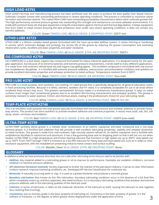#### **HIGH LOAD #2792**

HIGH LOAD's formula and manufacturing process has been perfected over the years to produce the best quality Over Based Calcium Sulfonate Complex Grease with outstanding performance in severe operating conditions. The process is controlled to maximize calcite formation and minimize vaterite. This makes HIGH LOAD have outstanding pumpability characteristics where other sulfonate greases fail. This high performance, extreme pressure grease has outstanding film strength and resistance to corrosive saltwater environments. It is made with premium base oils that give equipment a long life and protects against chemical and thermal degradation. It keeps equipment free from metal to metal contact ensuring the best protection, even under very severe operating conditions. It does not contain any harmful additives.

#### COLOR: Green TIMKEN LOAD: 60 NLGI GRADE: 2 DROPPING POINT: 550°F min

#### **LITHO-LUBE #2723**

LITHO-LUBE is a lithium complex based grease formulated with the most up-to-date additive system. It resists thinning or hardening in service, which minimizes leakage and prolongs the service life of the grease by reducing the grease consumption and extending relubrication cycles. Excellent anti-wear properties and water resistance.

#### COLOR: Blue TIMKEN LOAD: 60 NLGI GRADE: 2 FPA: H2 DROPPING POINT: 500ºF+

#### **OG COMPOUND #2759**

OG COMPOUND is a dark black, organo-clay compound formulated for heavy industrial applications. It is designed mainly for the open gear application, but because of its extreme tackiness and extreme pressure characteristics, it lends itself to many different applications. It is made from mid-continent refined base oils and organo-clay gelling agents. This excellent compound is formulated with sub-micron size molybdenum disulphide. It is fortified with extreme pressure additives, anticorrosion and antioxidation inhibitors and tackifiers to provide excellent lubrication properties and antiwear protection to metal surfaces. Temperature resistant from 0-500°F.

#### COLOR: Black TIMKEN LOAD: 70 NLGI GRADE: 2.5 DROPPING POINT: Non-melt

#### **PRO LUBE #2787**

PRO LUBE is a multi-purpose, semi-synthetic, non-melting, H1-rated grease that is specifically designed for all general lubrication needs in food processing facilities. Because it is white, odorless, tasteless and H1 rated, it is completely acceptable for use in all areas where incidental food contact may occur. This grease's semisynthetic formula makes it a multiservice maintenance grease. It stays on metal surfaces much longer than conventional greases due to its excellent film-forming characteristics and antiwear qualities. This grease is extremely resistant to water washout, friction and chemical attack, making it the professional's choice for your lubricating needs.

#### COLOR: White TIMKEN LOAD: 50 NLGI GRADE: 2 DROPPING POINT: 500+ºF FPA: H1

#### **TEMP-PLATE #2747/#2746**

This is an excellent multi-purpose non-melt grease specially formulated with extreme pressure and antiwear additives to provide heavyduty service. This product has extra tackifiers to provide excellent adhesive and cohesive properties. It resists most acids, salt, dirt, salt spray, steam, corrosion and oxidation.

#### COLOR: Red TIMKEN LOAD: 65 NLGI GRADE: 2 FPA: H2 DROPPING POINT: +550ºF (non-melt)

#### **ULTRA-TEMP #2739**

ULTRA-TEMP synthetic blend grease is a metallic silver combination of an olefinic copolymer anti-seize compound and a non-soap bentone grease. It is fortified with additives that will provide it with excellent lubricating properties, stability and antiwear protection to metal surfaces. This grease is made from mid-continent, high viscosity solvent refined oil, an olefinic copolymer and is fortified with molybdenum disulfide (in submicron) and aluminum. It has a low gumming base and no dropping point so that it will not run out when heated. ULTRA-TEMP is a high temperature anti-friction bearing lubricant that functions in high speed use up to 450°F, slow-speed use up to 750°F. From 750°F through 1100°F it functions as a dry-film lubricant for heavy load and slow-speed use, such as in slides or slowrevolution equipment, with the molybdenum preventing metal-to-metal contact and surface scuffing.

#### COLOR: Metallic, Silver NLGI GRADE: 2 FPA: H2 DROPPING POINT: None.

#### **GLOSSARY**

*In addition to what we have previously described, here are a few other lubricating terms that you need to be familiar with:*

- **Additive:** Any material added to a lubricating grease or oil to improve its performance. Examples are oxidation inhibitors, corrosion inhibitors or extreme pressure additives.
- *• API (American Petroleum Institute):* Society organized to further the interest of the petroleum industry. It serves to clear information, conduct research, improve marketing conditions, etc. Developed API Service Classification for crankcase oils.
- *• Bentonite:* A naturally occurring earth or clay. It is used as a grease thickener and produces a nonmelt grease.
- *• Boundary Lubrication:* Also known as thin film lubrication, boundary lubricating conditions occur in the absence of a full fluid film, which completely covers up, and thus separates, two metal surfaces. It is in boundary lubricating conditions that antiwear and extreme pressure additives add to the lubricating qualities of the lubricant used.
- *• Cohesive:* In terms of lubricants, it refers to the molecular attraction of the lubricant to itself, causing the lubricant to stick together, thus resisting flow (running).
- *Consistency:* Just as viscosity grade is the basic property of lubricating oil, consistency is the basic property of grease. It is the softness or hardness, i.e. the degree, to which grease resists displacement under the application of force.